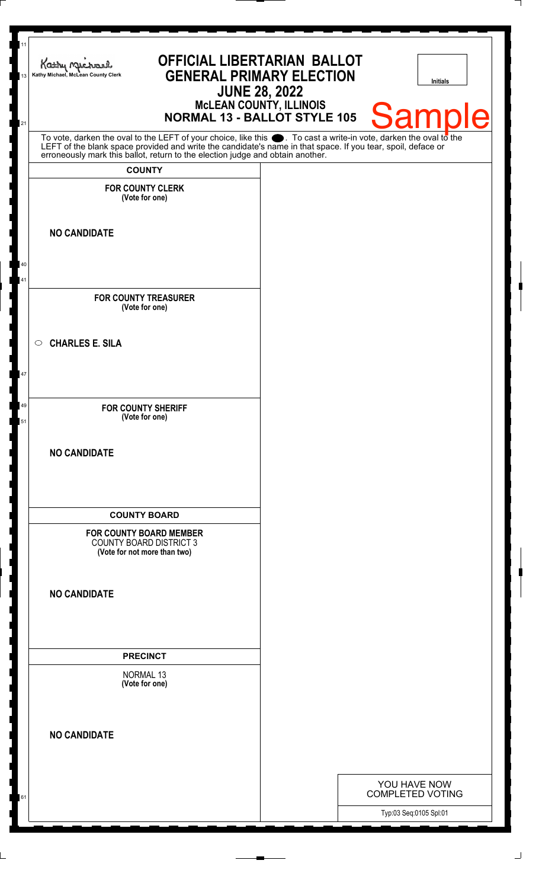| 11<br>13<br>21 | <b>OFFICIAL LIBERTARIAN BALLOT</b><br>Kathy Michael<br><b>GENERAL PRIMARY ELECTION</b><br>Kathy Michael, McLean County Clerk<br><b>JUNE 28, 2022</b><br><b>McLEAN COUNTY, ILLINOIS</b><br><b>NORMAL 13 - BALLOT STYLE 105</b> |  | <b>Initials</b><br><b>Sample</b>                  |
|----------------|-------------------------------------------------------------------------------------------------------------------------------------------------------------------------------------------------------------------------------|--|---------------------------------------------------|
|                | To vote, darken the oval to the LEFT of your choice, like this . To cast a write-in vote, darken the oval to the LEFT of the blank space provided and write the candidate's name in that space. If you tear, spoil, deface or |  |                                                   |
|                | <b>COUNTY</b>                                                                                                                                                                                                                 |  |                                                   |
|                | <b>FOR COUNTY CLERK</b><br>(Vote for one)                                                                                                                                                                                     |  |                                                   |
|                | <b>NO CANDIDATE</b>                                                                                                                                                                                                           |  |                                                   |
| 40<br>41       |                                                                                                                                                                                                                               |  |                                                   |
|                | <b>FOR COUNTY TREASURER</b><br>(Vote for one)                                                                                                                                                                                 |  |                                                   |
|                | <b>CHARLES E. SILA</b><br>$\circ$                                                                                                                                                                                             |  |                                                   |
| 47             |                                                                                                                                                                                                                               |  |                                                   |
| 49<br>51       | <b>FOR COUNTY SHERIFF</b><br>(Vote for one)                                                                                                                                                                                   |  |                                                   |
|                | <b>NO CANDIDATE</b>                                                                                                                                                                                                           |  |                                                   |
|                | <b>COUNTY BOARD</b>                                                                                                                                                                                                           |  |                                                   |
|                | <b>FOR COUNTY BOARD MEMBER</b><br><b>COUNTY BOARD DISTRICT 3</b><br>(Vote for not more than two)                                                                                                                              |  |                                                   |
|                | <b>NO CANDIDATE</b>                                                                                                                                                                                                           |  |                                                   |
|                | <b>PRECINCT</b>                                                                                                                                                                                                               |  |                                                   |
|                | <b>NORMAL 13</b><br>(Vote for one)                                                                                                                                                                                            |  |                                                   |
|                | <b>NO CANDIDATE</b>                                                                                                                                                                                                           |  |                                                   |
|                |                                                                                                                                                                                                                               |  | YOU HAVE NOW                                      |
| 61             |                                                                                                                                                                                                                               |  | <b>COMPLETED VOTING</b><br>Typ:03 Seq:0105 Spl:01 |
|                |                                                                                                                                                                                                                               |  |                                                   |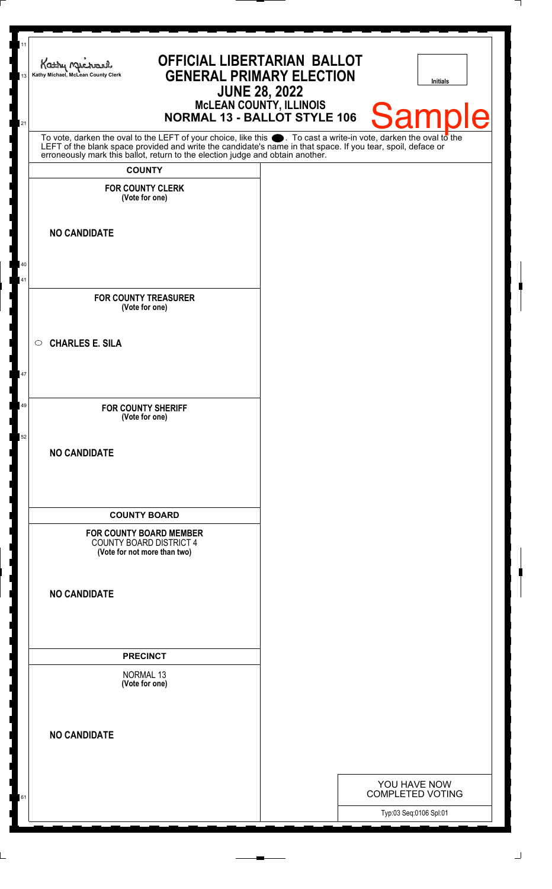| 11<br>13<br>21 | <b>OFFICIAL LIBERTARIAN BALLOT</b><br>Kathy Michael<br><b>GENERAL PRIMARY ELECTION</b><br>Kathy Michael, McLean County Clerk<br><b>JUNE 28, 2022</b><br>McLEAN COUNTY, ILLINOIS<br>NORMAL 13 - BALLOT STYLE 106               |  | <b>Initials</b><br><b>Samp</b><br>le              |
|----------------|-------------------------------------------------------------------------------------------------------------------------------------------------------------------------------------------------------------------------------|--|---------------------------------------------------|
|                | To vote, darken the oval to the LEFT of your choice, like this . To cast a write-in vote, darken the oval to the LEFT of the blank space provided and write the candidate's name in that space. If you tear, spoil, deface or |  |                                                   |
|                | <b>COUNTY</b>                                                                                                                                                                                                                 |  |                                                   |
|                | <b>FOR COUNTY CLERK</b><br>(Vote for one)                                                                                                                                                                                     |  |                                                   |
|                | <b>NO CANDIDATE</b>                                                                                                                                                                                                           |  |                                                   |
| 40<br>41       | <b>FOR COUNTY TREASURER</b><br>(Vote for one)                                                                                                                                                                                 |  |                                                   |
|                | <b>CHARLES E. SILA</b><br>$\circ$                                                                                                                                                                                             |  |                                                   |
| 47             |                                                                                                                                                                                                                               |  |                                                   |
| 49             | <b>FOR COUNTY SHERIFF</b><br>(Vote for one)                                                                                                                                                                                   |  |                                                   |
| 52             | <b>NO CANDIDATE</b>                                                                                                                                                                                                           |  |                                                   |
|                | <b>COUNTY BOARD</b>                                                                                                                                                                                                           |  |                                                   |
|                | <b>FOR COUNTY BOARD MEMBER</b><br><b>COUNTY BOARD DISTRICT 4</b><br>(Vote for not more than two)                                                                                                                              |  |                                                   |
|                | <b>NO CANDIDATE</b>                                                                                                                                                                                                           |  |                                                   |
|                | <b>PRECINCT</b>                                                                                                                                                                                                               |  |                                                   |
|                | NORMAL 13<br>(Vote for one)                                                                                                                                                                                                   |  |                                                   |
|                | <b>NO CANDIDATE</b>                                                                                                                                                                                                           |  |                                                   |
|                |                                                                                                                                                                                                                               |  | YOU HAVE NOW                                      |
| 61             |                                                                                                                                                                                                                               |  | <b>COMPLETED VOTING</b><br>Typ:03 Seq:0106 Spl:01 |
|                |                                                                                                                                                                                                                               |  |                                                   |